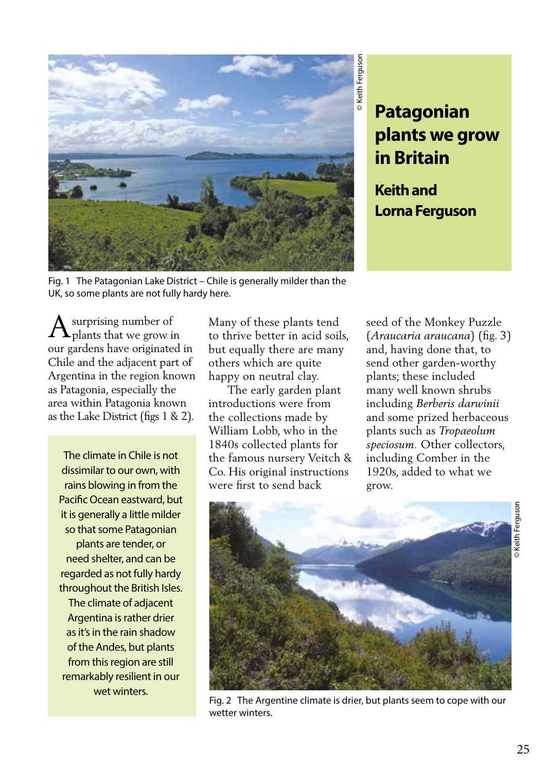

# **Patagonian plants we grow in Britain**

**Keith and Lorna Ferguson** 

Fig. 1 The Patagonian Lake District – Chile is generally milder than the UK, so some plants are not fully hardy here.

surprising number of plants that we grow in our gardens have originated in Chile and the adjacent part of Argentina in the region known as Patagonia, especially the area within Patagonia known as the Lake District (figs 1 & 2).  $\bigwedge$  surprising number of Many of these plants tend<br>to thrive better in acid soils,

The climate in Chile is not dissimilar to our own, with rains blowing in from the Pacific Ocean eastward, but it is generally a little milder so that some Patagonian plants are tender, or need shelter, and can be regarded as not fully hardy throughout the British Isles. The climate of adjacent Argentina is rather drier as it's in the rain shadow of the Andes, but plants from this region are still remarkably resilient in our wet winters.

but equally there are many others which are quite happy on neutral clay.

 The early garden plant introductions were from the collections made by William Lobb, who in the 1840s collected plants for the famous nursery Veitch & Co. His original instructions were first to send back

seed of the Monkey Puzzle (*Araucaria araucana*) (fig. 3) and, having done that, to send other garden-worthy plants; these included many well known shrubs including *Berberis darwinii*  and some prized herbaceous plants such as *Tropaeolum speciosum.* Other collectors, including Comber in the 1920s, added to what we grow.



Fig. 2 The Argentine climate is drier, but plants seem to cope with our wetter winters.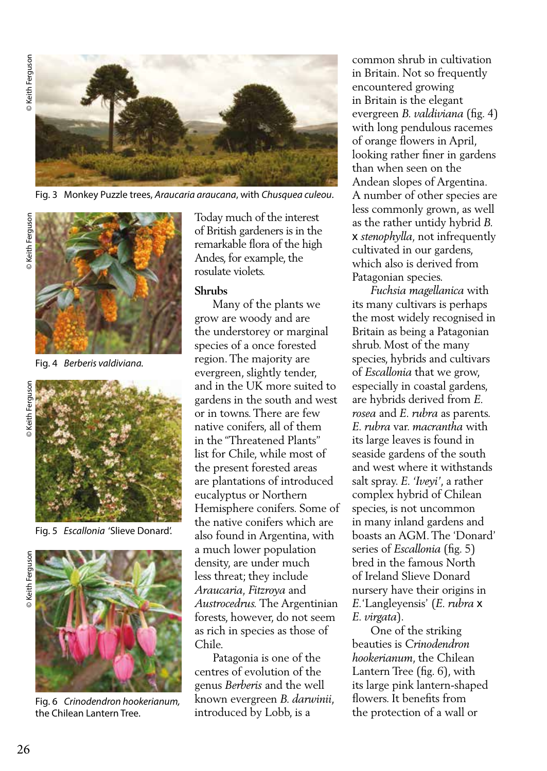

Fig. 3 Monkey Puzzle trees, *Araucaria araucana*, with *Chusquea culeou*.



Fig. 4 *Berberis valdiviana.*





Fig. 5 *Escallonia* 'Slieve Donard'.

© Keith Ferguson



Fig. 6 *Crinodendron hookerianum,*  the Chilean Lantern Tree.

Today much of the interest of British gardeners is in the remarkable flora of the high Andes, for example, the rosulate violets.

#### **Shrubs**

 Many of the plants we grow are woody and are the understorey or marginal species of a once forested region. The majority are evergreen, slightly tender, and in the UK more suited to gardens in the south and west or in towns. There are few native conifers, all of them in the "Threatened Plants" list for Chile, while most of the present forested areas are plantations of introduced eucalyptus or Northern Hemisphere conifers. Some of the native conifers which are also found in Argentina, with a much lower population density, are under much less threat; they include *Araucaria, Fitzroya* and *Austrocedrus.* The Argentinian forests, however, do not seem as rich in species as those of Chile.

 Patagonia is one of the centres of evolution of the genus *Berberis* and the well known evergreen *B. darwinii*, introduced by Lobb, is a

common shrub in cultivation in Britain. Not so frequently encountered growing in Britain is the elegant evergreen *B. valdiviana* (fig. 4) with long pendulous racemes of orange flowers in April, looking rather finer in gardens than when seen on the Andean slopes of Argentina. A number of other species are less commonly grown, as well as the rather untidy hybrid *B.* x *stenophylla,* not infrequently cultivated in our gardens, which also is derived from Patagonian species.

 *Fuchsia magellanica* with its many cultivars is perhaps the most widely recognised in Britain as being a Patagonian shrub. Most of the many species, hybrids and cultivars of *Escallonia* that we grow, especially in coastal gardens, are hybrids derived from *E. rosea* and *E. rubra* as parents. *E. rubra* var. *macrantha* with its large leaves is found in seaside gardens of the south and west where it withstands salt spray. *E. 'Iveyi'*, a rather complex hybrid of Chilean species, is not uncommon in many inland gardens and boasts an AGM. The 'Donard' series of *Escallonia* (fig. 5) bred in the famous North of Ireland Slieve Donard nursery have their origins in *E.*'Langleyensis' (*E. rubra* x *E. virgata*).

 One of the striking beauties is *Crinodendron hookerianum*, the Chilean Lantern Tree (fig. 6), with its large pink lantern-shaped flowers. It benefits from the protection of a wall or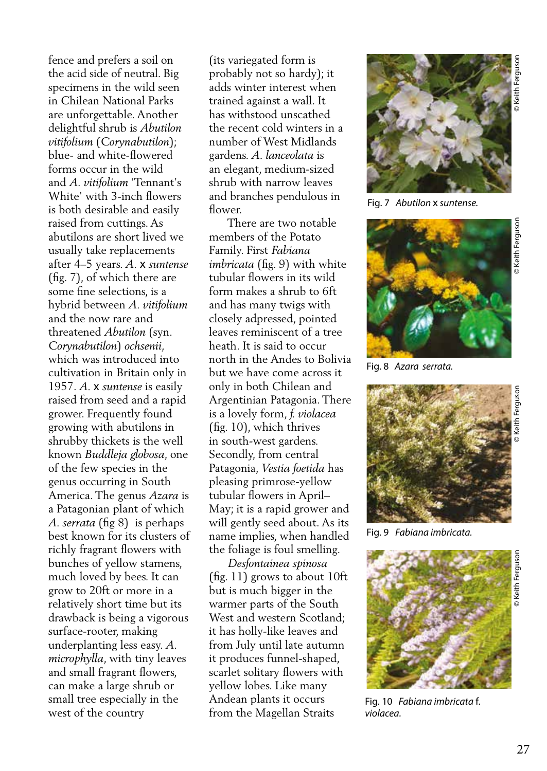fence and prefers a soil on the acid side of neutral. Big specimens in the wild seen in Chilean National Parks are unforgettable. Another delightful shrub is *Abutilon vitifolium* (*Corynabutilon*); blue- and white-flowered forms occur in the wild and *A. vitifolium* 'Tennant's White' with 3-inch flowers is both desirable and easily raised from cuttings. As abutilons are short lived we usually take replacements after 4–5 years. *A.* x *suntense* (fig. 7), of which there are some fine selections, is a hybrid between *A. vitifolium* and the now rare and threatened *Abutilon* (syn. *Corynabutilon*) *ochsenii*, which was introduced into cultivation in Britain only in 1957. *A.* x *suntense* is easily raised from seed and a rapid grower. Frequently found growing with abutilons in shrubby thickets is the well known *Buddleja globosa*, one of the few species in the genus occurring in South America. The genus *Azara* is a Patagonian plant of which *A. serrata* (fig 8) is perhaps best known for its clusters of richly fragrant flowers with bunches of yellow stamens, much loved by bees. It can grow to 20ft or more in a relatively short time but its drawback is being a vigorous surface-rooter, making underplanting less easy. *A. microphylla*, with tiny leaves and small fragrant flowers, can make a large shrub or small tree especially in the west of the country

(its variegated form is probably not so hardy); it adds winter interest when trained against a wall. It has withstood unscathed the recent cold winters in a number of West Midlands gardens. *A. lanceolata* is an elegant, medium-sized shrub with narrow leaves and branches pendulous in flower.

 There are two notable members of the Potato Family. First *Fabiana imbricata* (fig. 9) with white tubular flowers in its wild form makes a shrub to 6ft and has many twigs with closely adpressed, pointed leaves reminiscent of a tree heath. It is said to occur north in the Andes to Bolivia but we have come across it only in both Chilean and Argentinian Patagonia. There is a lovely form, *f. violacea* (fig. 10), which thrives in south-west gardens. Secondly, from central Patagonia, *Vestia foetida* has pleasing primrose-yellow tubular flowers in April– May; it is a rapid grower and will gently seed about. As its name implies, when handled the foliage is foul smelling.

 *Desfontainea spinosa*  (fig. 11) grows to about 10ft but is much bigger in the warmer parts of the South West and western Scotland; it has holly-like leaves and from July until late autumn it produces funnel-shaped, scarlet solitary flowers with yellow lobes. Like many Andean plants it occurs from the Magellan Straits



Fig. 7 *Abutilon* x *suntense.*



Fig. 8 *Azara serrata.*



Fig. 9 *Fabiana imbricata.*



Fig. 10 *Fabiana imbricata* f. *violacea.*

**Keith Ferguson**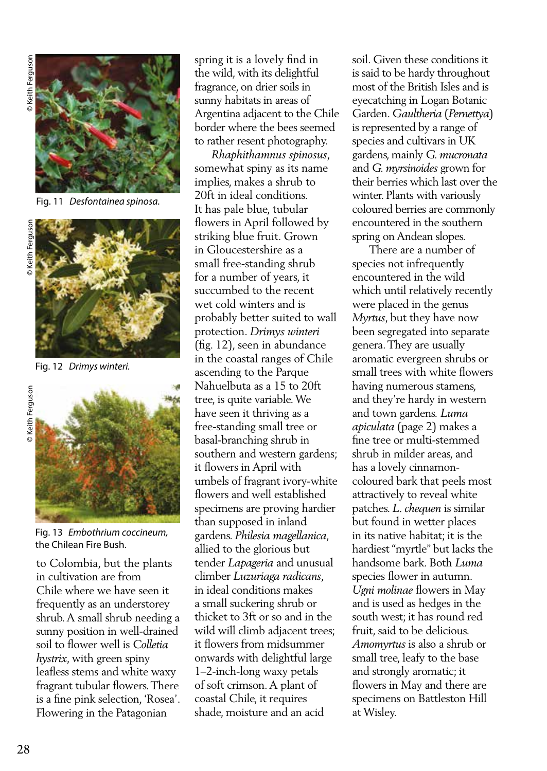

Fig. 11 *Desfontainea spinosa.* 



Fig. 12 *Drimys winteri.*



Fig. 13 *Embothrium coccineum,*  the Chilean Fire Bush.

to Colombia, but the plants in cultivation are from Chile where we have seen it frequently as an understorey shrub. A small shrub needing a sunny position in well-drained soil to flower well is *Colletia hystrix*, with green spiny leafless stems and white waxy fragrant tubular flowers. There is a fine pink selection, 'Rosea'. Flowering in the Patagonian

spring it is a lovely find in the wild, with its delightful fragrance, on drier soils in sunny habitats in areas of Argentina adjacent to the Chile border where the bees seemed to rather resent photography.

 *Rhaphithamnus spinosus*, somewhat spiny as its name implies, makes a shrub to 20ft in ideal conditions. It has pale blue, tubular flowers in April followed by striking blue fruit. Grown in Gloucestershire as a small free-standing shrub for a number of years, it succumbed to the recent wet cold winters and is probably better suited to wall protection. *Drimys winteri* (fig. 12), seen in abundance in the coastal ranges of Chile ascending to the Parque Nahuelbuta as a 15 to 20ft tree, is quite variable. We have seen it thriving as a free-standing small tree or basal-branching shrub in southern and western gardens; it flowers in April with umbels of fragrant ivory-white flowers and well established specimens are proving hardier than supposed in inland gardens. *Philesia magellanica*, allied to the glorious but tender *Lapageria* and unusual climber *Luzuriaga radicans*, in ideal conditions makes a small suckering shrub or thicket to 3ft or so and in the wild will climb adjacent trees; it flowers from midsummer onwards with delightful large 1–2-inch-long waxy petals of soft crimson. A plant of coastal Chile, it requires shade, moisture and an acid

soil. Given these conditions it is said to be hardy throughout most of the British Isles and is eyecatching in Logan Botanic Garden. *Gaultheria* (*Pernettya*) is represented by a range of species and cultivars in UK gardens, mainly *G. mucronata*  and *G. myrsinoides* grown for their berries which last over the winter. Plants with variously coloured berries are commonly encountered in the southern spring on Andean slopes.

 There are a number of species not infrequently encountered in the wild which until relatively recently were placed in the genus *Myrtus*, but they have now been segregated into separate genera. They are usually aromatic evergreen shrubs or small trees with white flowers having numerous stamens, and they're hardy in western and town gardens. *Luma apiculata* (page 2) makes a fine tree or multi-stemmed shrub in milder areas, and has a lovely cinnamoncoloured bark that peels most attractively to reveal white patches. *L. chequen* is similar but found in wetter places in its native habitat; it is the hardiest "myrtle" but lacks the handsome bark. Both *Luma*  species flower in autumn. *Ugni molinae* flowers in May and is used as hedges in the south west; it has round red fruit, said to be delicious. *Amomyrtus* is also a shrub or small tree, leafy to the base and strongly aromatic; it flowers in May and there are specimens on Battleston Hill at Wisley.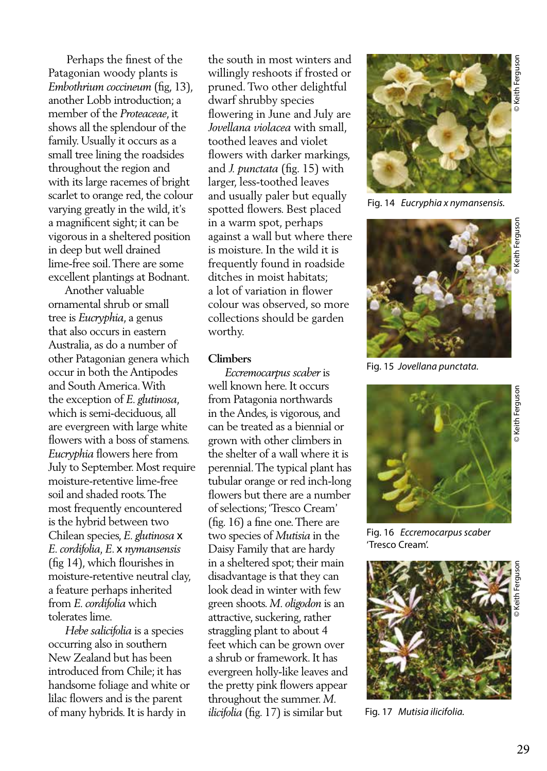Perhaps the finest of the Patagonian woody plants is *Embothrium coccineum* (fig, 13), another Lobb introduction; a member of the *Proteaceae*, it shows all the splendour of the family. Usually it occurs as a small tree lining the roadsides throughout the region and with its large racemes of bright scarlet to orange red, the colour varying greatly in the wild, it's a magnificent sight; it can be vigorous in a sheltered position in deep but well drained lime-free soil. There are some excellent plantings at Bodnant.

 Another valuable ornamental shrub or small tree is *Eucryphia*, a genus that also occurs in eastern Australia, as do a number of other Patagonian genera which occur in both the Antipodes and South America. With the exception of *E. glutinosa*, which is semi-deciduous, all are evergreen with large white flowers with a boss of stamens. *Eucryphia* flowers here from July to September. Most require moisture-retentive lime-free soil and shaded roots. The most frequently encountered is the hybrid between two Chilean species, *E. glutinosa* x *E. cordifolia, E*. x *nymansensis*  (fig 14), which flourishes in moisture-retentive neutral clay, a feature perhaps inherited from *E. cordifolia* which tolerates lime.

 *Hebe salicifolia* is a species occurring also in southern New Zealand but has been introduced from Chile; it has handsome foliage and white or lilac flowers and is the parent of many hybrids. It is hardy in

the south in most winters and willingly reshoots if frosted or pruned. Two other delightful dwarf shrubby species flowering in June and July are *Jovellana violacea* with small, toothed leaves and violet flowers with darker markings, and *J. punctata* (fig. 15) with larger, less-toothed leaves and usually paler but equally spotted flowers. Best placed in a warm spot, perhaps against a wall but where there is moisture. In the wild it is frequently found in roadside ditches in moist habitats; a lot of variation in flower colour was observed, so more collections should be garden worthy.

### **Climbers**

 *Eccremocarpus scaber* is well known here. It occurs from Patagonia northwards in the Andes, is vigorous, and can be treated as a biennial or grown with other climbers in the shelter of a wall where it is perennial. The typical plant has tubular orange or red inch-long flowers but there are a number of selections; 'Tresco Cream' (fig. 16) a fine one. There are two species of *Mutisia* in the Daisy Family that are hardy in a sheltered spot; their main disadvantage is that they can look dead in winter with few green shoots. *M. oligodon* is an attractive, suckering, rather straggling plant to about 4 feet which can be grown over a shrub or framework. It has evergreen holly-like leaves and the pretty pink flowers appear throughout the summer. *M. ilicifolia* (fig. 17) is similar but



Fig. 14 *Eucryphia x nymansensis.*



Fig. 15 *Jovellana punctata.*



Fig. 16 *Eccremocarpus scaber*  'Tresco Cream'.



Fig. 17 *Mutisia ilicifolia.*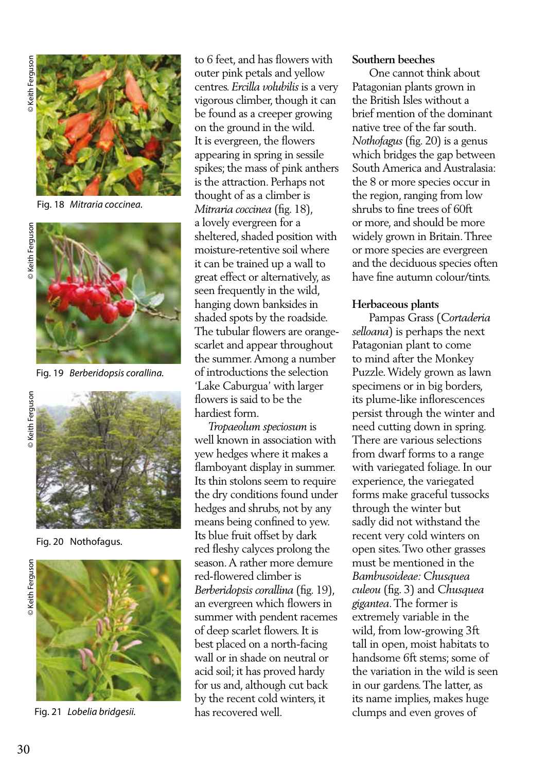

Fig. 18 *Mitraria coccinea.*





Fig. 19 *Berberidopsis corallina.*



Fig. 20 Nothofagus.





Fig. 21 *Lobelia bridgesii.*

to 6 feet, and has flowers with outer pink petals and yellow centres. *Ercilla volubilis* is a very vigorous climber, though it can be found as a creeper growing on the ground in the wild. It is evergreen, the flowers appearing in spring in sessile spikes; the mass of pink anthers is the attraction. Perhaps not thought of as a climber is *Mitraria coccinea* (fig. 18), a lovely evergreen for a sheltered, shaded position with moisture-retentive soil where it can be trained up a wall to great effect or alternatively, as seen frequently in the wild, hanging down banksides in shaded spots by the roadside. The tubular flowers are orangescarlet and appear throughout the summer. Among a number of introductions the selection 'Lake Caburgua' with larger flowers is said to be the hardiest form.

 *Tropaeolum speciosum* is well known in association with yew hedges where it makes a flamboyant display in summer. Its thin stolons seem to require the dry conditions found under hedges and shrubs, not by any means being confined to yew. Its blue fruit offset by dark red fleshy calyces prolong the season. A rather more demure red-flowered climber is *Berberidopsis corallina* (fig. 19), an evergreen which flowers in summer with pendent racemes of deep scarlet flowers. It is best placed on a north-facing wall or in shade on neutral or acid soil; it has proved hardy for us and, although cut back by the recent cold winters, it has recovered well.

### **Southern beeches**

 One cannot think about Patagonian plants grown in the British Isles without a brief mention of the dominant native tree of the far south. *Nothofagus* (fig. 20) is a genus which bridges the gap between South America and Australasia: the 8 or more species occur in the region, ranging from low shrubs to fine trees of 60ft or more, and should be more widely grown in Britain. Three or more species are evergreen and the deciduous species often have fine autumn colour/tints.

## **Herbaceous plants**

 Pampas Grass (*Cortaderia selloana*) is perhaps the next Patagonian plant to come to mind after the Monkey Puzzle. Widely grown as lawn specimens or in big borders, its plume-like inflorescences persist through the winter and need cutting down in spring. There are various selections from dwarf forms to a range with variegated foliage. In our experience, the variegated forms make graceful tussocks through the winter but sadly did not withstand the recent very cold winters on open sites. Two other grasses must be mentioned in the *Bambusoideae: Chusquea culeou* (fig. 3) and *Chusquea gigantea*. The former is extremely variable in the wild, from low-growing 3ft tall in open, moist habitats to handsome 6ft stems; some of the variation in the wild is seen in our gardens. The latter, as its name implies, makes huge clumps and even groves of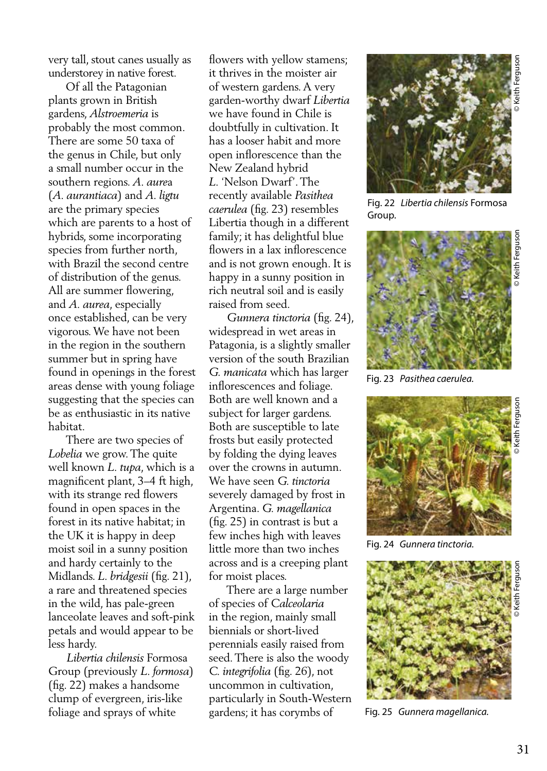very tall, stout canes usually as understorey in native forest.

 Of all the Patagonian plants grown in British gardens, *Alstroemeria* is probably the most common. There are some 50 taxa of the genus in Chile, but only a small number occur in the southern regions. *A. aure*a (*A. aurantiaca*) and *A. ligtu* are the primary species which are parents to a host of hybrids, some incorporating species from further north, with Brazil the second centre of distribution of the genus. All are summer flowering, and *A. aurea*, especially once established, can be very vigorous. We have not been in the region in the southern summer but in spring have found in openings in the forest areas dense with young foliage suggesting that the species can be as enthusiastic in its native habitat.

 There are two species of *Lobelia* we grow. The quite well known *L. tupa*, which is a magnificent plant, 3–4 ft high, with its strange red flowers found in open spaces in the forest in its native habitat; in the UK it is happy in deep moist soil in a sunny position and hardy certainly to the Midlands. *L. bridgesii* (fig. 21), a rare and threatened species in the wild, has pale-green lanceolate leaves and soft-pink petals and would appear to be less hardy.

 *Libertia chilensis* Formosa Group (previously *L. formosa*) (fig. 22) makes a handsome clump of evergreen, iris-like foliage and sprays of white

flowers with yellow stamens; it thrives in the moister air of western gardens. A very garden-worthy dwarf *Libertia* we have found in Chile is doubtfully in cultivation. It has a looser habit and more open inflorescence than the New Zealand hybrid *L.* 'Nelson Dwarf'. The recently available *Pasithea caerulea* (fig. 23) resembles Libertia though in a different family; it has delightful blue flowers in a lax inflorescence and is not grown enough. It is happy in a sunny position in rich neutral soil and is easily raised from seed.

 *Gunnera tinctoria* (fig. 24), widespread in wet areas in Patagonia, is a slightly smaller version of the south Brazilian *G. manicata* which has larger inflorescences and foliage. Both are well known and a subject for larger gardens. Both are susceptible to late frosts but easily protected by folding the dying leaves over the crowns in autumn. We have seen *G. tinctoria* severely damaged by frost in Argentina. *G. magellanica*  (fig. 25) in contrast is but a few inches high with leaves little more than two inches across and is a creeping plant for moist places.

 There are a large number of species of *Calceolaria* in the region, mainly small biennials or short-lived perennials easily raised from seed. There is also the woody *C. integrifolia* (fig. 26), not uncommon in cultivation, particularly in South-Western gardens; it has corymbs of



Fig. 22 *Libertia chilensis* Formosa Group.



Fig. 23 *Pasithea caerulea.*



Fig. 24 *Gunnera tinctoria.* 



Fig. 25 *Gunnera magellanica.*